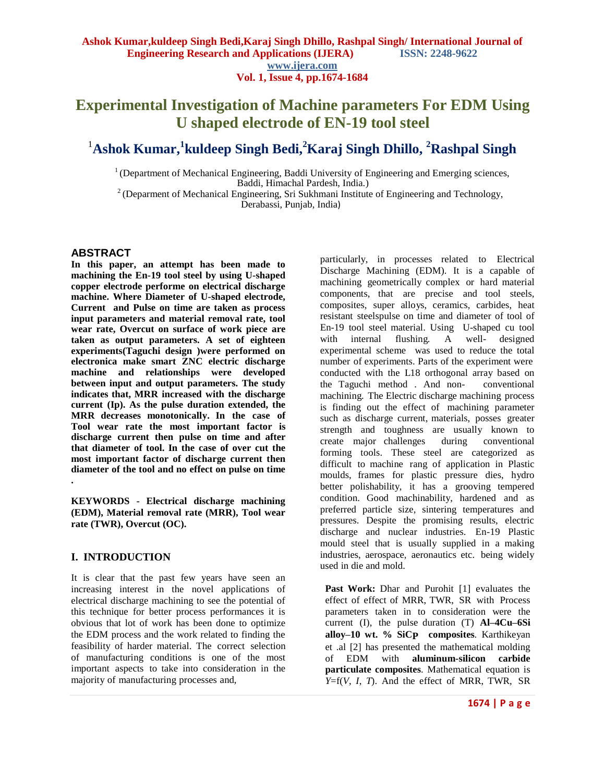# **Experimental Investigation of Machine parameters For EDM Using U shaped electrode of EN-19 tool steel**

# <sup>1</sup>**Ashok Kumar, 1 kuldeep Singh Bedi,<sup>2</sup>Karaj Singh Dhillo, <sup>2</sup>Rashpal Singh**

 $1$ <sup>1</sup> (Department of Mechanical Engineering, Baddi University of Engineering and Emerging sciences, Baddi, Himachal Pardesh, India.)

<sup>2</sup> (Deparment of Mechanical Engineering, Sri Sukhmani Institute of Engineering and Technology, Derabassi, Punjab, India)

# **ABSTRACT**

**In this paper, an attempt has been made to machining the En-19 tool steel by using U-shaped copper electrode performe on electrical discharge machine. Where Diameter of U-shaped electrode, Current and Pulse on time are taken as process input parameters and material removal rate, tool wear rate, Overcut on surface of work piece are taken as output parameters. A set of eighteen experiments(Taguchi design )were performed on electronica make smart ZNC electric discharge machine and relationships were developed between input and output parameters. The study indicates that, MRR increased with the discharge current (Ip). As the pulse duration extended, the MRR decreases monotonically. In the case of Tool wear rate the most important factor is discharge current then pulse on time and after that diameter of tool. In the case of over cut the most important factor of discharge current then diameter of the tool and no effect on pulse on time .**

**KEYWORDS - Electrical discharge machining (EDM), Material removal rate (MRR), Tool wear rate (TWR), Overcut (OC).**

# **I. INTRODUCTION**

It is clear that the past few years have seen an increasing interest in the novel applications of electrical discharge machining to see the potential of this technique for better process performances it is obvious that lot of work has been done to optimize the EDM process and the work related to finding the feasibility of harder material. The correct selection of manufacturing conditions is one of the most important aspects to take into consideration in the majority of manufacturing processes and,

particularly, in processes related to Electrical Discharge Machining (EDM). It is a capable of machining geometrically complex or hard material components, that are precise and tool steels, composites, super alloys, ceramics, carbides, heat resistant steelspulse on time and diameter of tool of En-19 tool steel material. Using U-shaped cu tool with internal flushing. A well- designed experimental scheme was used to reduce the total number of experiments. Parts of the experiment were conducted with the L18 orthogonal array based on the Taguchi method . And non- conventional machining. The Electric discharge machining process is finding out the effect of machining parameter such as discharge current, materials, posses greater strength and toughness are usually known to create major challenges during conventional forming tools. These steel are categorized as difficult to machine rang of application in Plastic moulds, frames for plastic pressure dies, hydro better polishability, it has a grooving tempered condition. Good machinability, hardened and as preferred particle size, sintering temperatures and pressures. Despite the promising results, electric discharge and nuclear industries. En-19 Plastic mould steel that is usually supplied in a making industries, aerospace, aeronautics etc. being widely used in die and mold.

**Past Work:** Dhar and Purohit [1] evaluates the effect of effect of MRR, TWR, SR with Process parameters taken in to consideration were the current (I), the pulse duration (T) **Al–4Cu–6Si alloy–10 wt. % SiCP composites**. Karthikeyan et .al [2] has presented the mathematical molding of EDM with **aluminum-silicon carbide particulate composites**. Mathematical equation is *Y*=f(*V*, *I*, *T*). And the effect of MRR, TWR, SR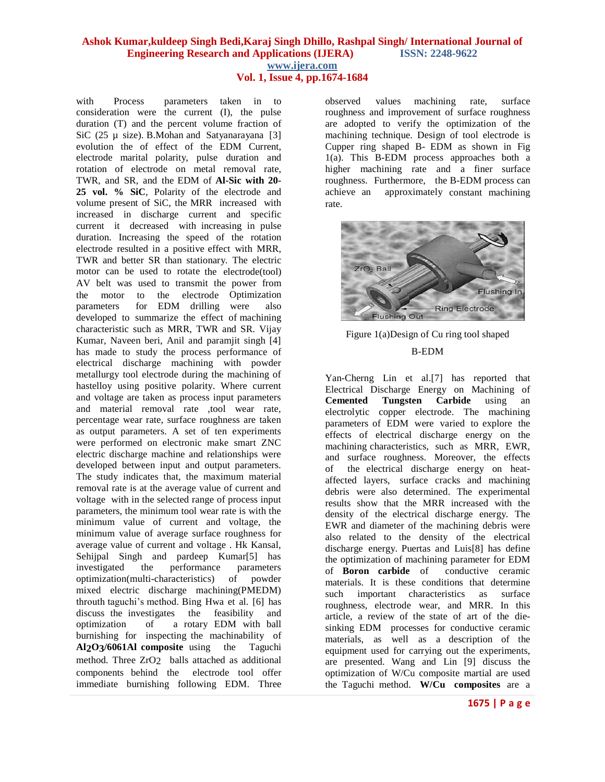**Vol. 1, Issue 4, pp.1674-1684**

with Process parameters taken in to consideration were the current (I), the pulse duration (T) and the percent volume fraction of SiC  $(25 \mu \text{ size})$ . B. Mohan and Satyanarayana [3] evolution the of effect of the EDM Current, electrode marital polarity, pulse duration and rotation of electrode on metal removal rate, TWR, and SR, and the EDM of **Al-Sic with 20- 25 vol. % SiC**, Polarity of the electrode and volume present of SiC, the MRR increased with increased in discharge current and specific current it decreased with increasing in pulse duration. Increasing the speed of the rotation electrode resulted in a positive effect with MRR, TWR and better SR than stationary. The electric motor can be used to rotate the electrode(tool) AV belt was used to transmit the power from the motor to the electrode Optimization parameters for EDM drilling were also developed to summarize the effect of machining characteristic such as MRR, TWR and SR. Vijay Kumar, Naveen beri, Anil and paramjit singh [4] has made to study the process performance of electrical discharge machining with powder metallurgy tool electrode during the machining of hastelloy using positive polarity. Where current and voltage are taken as process input parameters and material removal rate ,tool wear rate, percentage wear rate, surface roughness are taken as output parameters. A set of ten experiments were performed on electronic make smart ZNC electric discharge machine and relationships were developed between input and output parameters. The study indicates that, the maximum material removal rate is at the average value of current and voltage with in the selected range of process input parameters, the minimum tool wear rate is with the minimum value of current and voltage, the minimum value of average surface roughness for average value of current and voltage . Hk Kansal, Sehijpal Singh and pardeep Kumar<sup>[5]</sup> has investigated the performance parameters optimization(multi-characteristics) of powder mixed electric discharge machining(PMEDM) throuth taguchi's method. Bing Hwa et al. [6] has discuss the investigates the feasibility and optimization of a rotary EDM with ball burnishing for inspecting the machinability of **Al2O3/6061Al composite** using the Taguchi method. Three ZrO2 balls attached as additional components behind the electrode tool offer immediate burnishing following EDM. Three

observed values machining rate, surface roughness and improvement of surface roughness are adopted to verify the optimization of the machining technique. Design of tool electrode is Cupper ring shaped B- EDM as shown in Fig 1(a). This B-EDM process approaches both a higher machining rate and a finer surface roughness. Furthermore, the B-EDM process can achieve an approximately constant machining rate.



Figure 1(a)Design of Cu ring tool shaped B-EDM

Yan-Cherng Lin et al.[7] has reported that Electrical Discharge Energy on Machining of **Cemented Tungsten Carbide** using an electrolytic copper electrode. The machining parameters of EDM were varied to explore the effects of electrical discharge energy on the machining characteristics, such as MRR*,* EWR, and surface roughness. Moreover, the effects of the electrical discharge energy on heataffected layers, surface cracks and machining debris were also determined. The experimental results show that the MRR increased with the density of the electrical discharge energy. The EWR and diameter of the machining debris were also related to the density of the electrical discharge energy. Puertas and Luis[8] has define the optimization of machining parameter for EDM of **Boron carbide** of conductive ceramic materials. It is these conditions that determine such important characteristics as surface roughness, electrode wear, and MRR. In this article, a review of the state of art of the diesinking EDM processes for conductive ceramic materials, as well as a description of the equipment used for carrying out the experiments, are presented. Wang and Lin [9] discuss the optimization of W/Cu composite martial are used the Taguchi method. **W/Cu composites** are a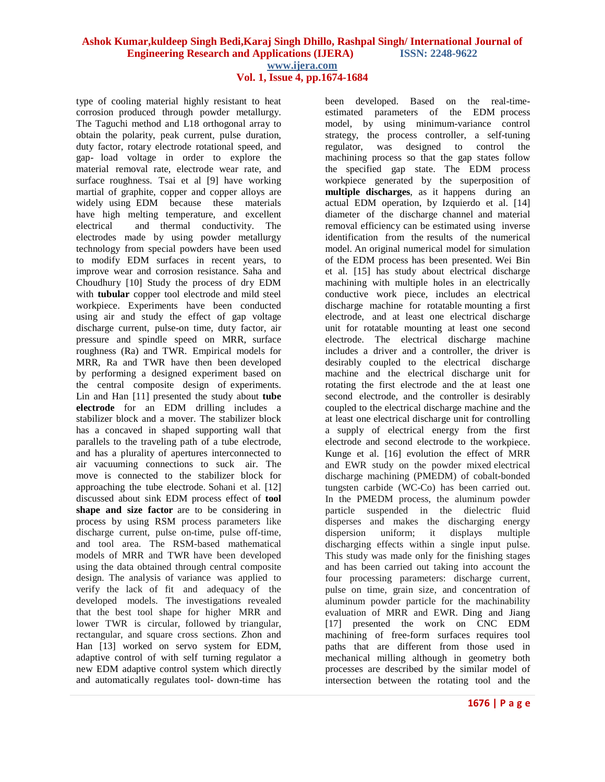**Vol. 1, Issue 4, pp.1674-1684**

type of cooling material highly resistant to heat corrosion produced through powder metallurgy. The Taguchi method and L18 orthogonal array to obtain the polarity, peak current, pulse duration, duty factor, rotary electrode rotational speed, and gap- load voltage in order to explore the material removal rate, electrode wear rate, and surface roughness. Tsai et al [9] have working martial of graphite, copper and copper alloys are widely using EDM because these materials have high melting temperature, and excellent electrical and thermal conductivity. The electrodes made by using powder metallurgy technology from special powders have been used to modify EDM surfaces in recent years, to improve wear and corrosion resistance. Saha and Choudhury [10] Study the process of dry EDM with **tubular** copper tool electrode and mild steel workpiece. Experiments have been conducted using air and study the effect of gap voltage discharge current, pulse-on time, duty factor, air pressure and spindle speed on MRR, surface roughness (Ra) and TWR. Empirical models for MRR, Ra and TWR have then been developed by performing a designed experiment based on the central composite design of experiments. Lin and Han [11] presented the study about **tube electrode** for an EDM drilling includes a stabilizer block and a mover. The stabilizer block has a concaved in shaped supporting wall that parallels to the traveling path of a tube electrode, and has a plurality of apertures interconnected to air vacuuming connections to suck air. The move is connected to the stabilizer block for approaching the tube electrode. Sohani et al. [12] discussed about sink EDM process effect of **tool shape and size factor** are to be considering in process by using RSM process parameters like discharge current, pulse on-time, pulse off-time, and tool area. The RSM-based mathematical models of MRR and TWR have been developed using the data obtained through central composite design. The analysis of variance was applied to verify the lack of fit and adequacy of the developed models. The investigations revealed that the best tool shape for higher MRR and lower TWR is circular, followed by triangular, rectangular, and square cross sections. Zhon and Han [13] worked on servo system for EDM, adaptive control of with self turning regulator a new EDM adaptive control system which directly and automatically regulates tool- down-time has

been developed. Based on the real-timeestimated parameters of the EDM process model, by using minimum-variance control strategy, the process controller, a self-tuning regulator, was designed to control the machining process so that the gap states follow the specified gap state. The EDM process workpiece generated by the superposition of **multiple discharges**, as it happens during an actual EDM operation, by Izquierdo et al. [14] diameter of the discharge channel and material removal efficiency can be estimated using inverse identification from the results of the numerical model. An original numerical model for simulation of the EDM process has been presented. Wei Bin et al. [15] has study about electrical discharge machining with multiple holes in an electrically conductive work piece, includes an electrical discharge machine for rotatable mounting a first electrode, and at least one electrical discharge unit for rotatable mounting at least one second electrode. The electrical discharge machine includes a driver and a controller, the driver is desirably coupled to the electrical discharge machine and the electrical discharge unit for rotating the first electrode and the at least one second electrode, and the controller is desirably coupled to the electrical discharge machine and the at least one electrical discharge unit for controlling a supply of electrical energy from the first electrode and second electrode to the workpiece. Kunge et al. [16] evolution the effect of MRR and EWR study on the powder mixed electrical discharge machining (PMEDM) of cobalt-bonded tungsten carbide (WC-Co) has been carried out. In the PMEDM process, the aluminum powder particle suspended in the dielectric fluid disperses and makes the discharging energy dispersion uniform; it displays multiple discharging effects within a single input pulse. This study was made only for the finishing stages and has been carried out taking into account the four processing parameters: discharge current, pulse on time, grain size, and concentration of aluminum powder particle for the machinability evaluation of MRR and EWR. Ding and Jiang [17] presented the work on CNC EDM machining of free-form surfaces requires tool paths that are different from those used in mechanical milling although in geometry both processes are described by the similar model of intersection between the rotating tool and the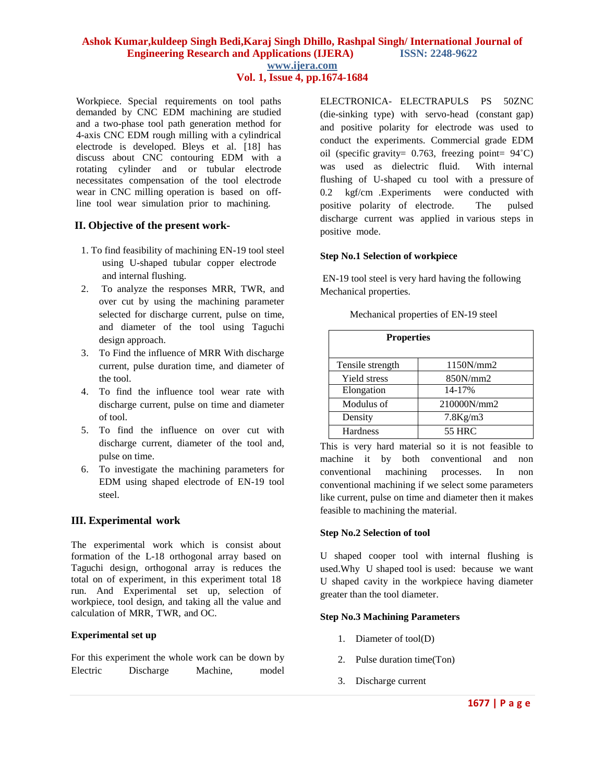Workpiece. Special requirements on tool paths demanded by CNC EDM machining are studied and a two-phase tool path generation method for 4-axis CNC EDM rough milling with a cylindrical electrode is developed. Bleys et al. [18] has discuss about CNC contouring EDM with a rotating cylinder and or tubular electrode necessitates compensation of the tool electrode wear in CNC milling operation is based on offline tool wear simulation prior to machining.

# **II. Objective of the present work-**

- 1. To find feasibility of machining EN-19 tool steel using U-shaped tubular copper electrode and internal flushing.
- 2. To analyze the responses MRR, TWR, and over cut by using the machining parameter selected for discharge current, pulse on time, and diameter of the tool using Taguchi design approach.
- 3. To Find the influence of MRR With discharge current, pulse duration time, and diameter of the tool.
- 4. To find the influence tool wear rate with discharge current, pulse on time and diameter of tool.
- 5. To find the influence on over cut with discharge current, diameter of the tool and, pulse on time.
- 6. To investigate the machining parameters for EDM using shaped electrode of EN-19 tool steel.

# **III. Experimental work**

The experimental work which is consist about formation of the L-18 orthogonal array based on Taguchi design, orthogonal array is reduces the total on of experiment, in this experiment total 18 run. And Experimental set up, selection of workpiece, tool design, and taking all the value and calculation of MRR, TWR, and OC.

#### **Experimental set up**

For this experiment the whole work can be down by Electric Discharge Machine, model ELECTRONICA- ELECTRAPULS PS 50ZNC (die-sinking type) with servo-head (constant gap) and positive polarity for electrode was used to conduct the experiments. Commercial grade EDM oil (specific gravity=  $0.763$ , freezing point=  $94^{\circ}$ C) was used as dielectric fluid. With internal flushing of U-shaped cu tool with a pressure of 0.2 kgf/cm .Experiments were conducted with positive polarity of electrode. The pulsed discharge current was applied in various steps in positive mode.

#### **Step No.1 Selection of workpiece**

EN-19 tool steel is very hard having the following Mechanical properties.

|  |  | Mechanical properties of EN-19 steel |
|--|--|--------------------------------------|
|--|--|--------------------------------------|

| <b>Properties</b> |                |  |  |  |  |
|-------------------|----------------|--|--|--|--|
| Tensile strength  | 1150N/mm2      |  |  |  |  |
| Yield stress      | 850N/mm2       |  |  |  |  |
| Elongation        | 14-17%         |  |  |  |  |
| Modulus of        | 210000N/mm2    |  |  |  |  |
| Density           | $7.8$ Kg/m $3$ |  |  |  |  |
| <b>Hardness</b>   | <b>55 HRC</b>  |  |  |  |  |

This is very hard material so it is not feasible to machine it by both conventional and non conventional machining processes. In non conventional machining if we select some parameters like current, pulse on time and diameter then it makes feasible to machining the material.

#### **Step No.2 Selection of tool**

U shaped cooper tool with internal flushing is used.Why U shaped tool is used: because we want U shaped cavity in the workpiece having diameter greater than the tool diameter.

#### **Step No.3 Machining Parameters**

- 1. Diameter of tool(D)
- 2. Pulse duration time(Ton)
- 3. Discharge current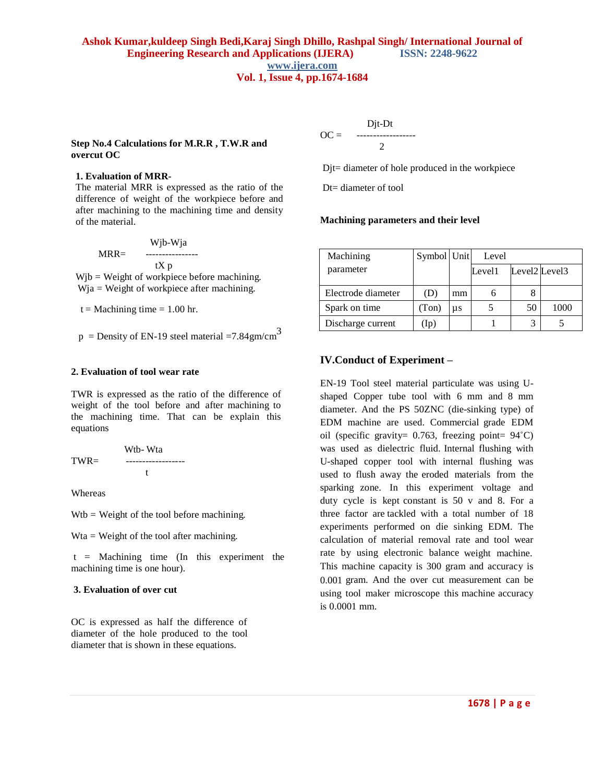#### **Step No.4 Calculations for M.R.R , T.W.R and overcut OC**

#### **1. Evaluation of MRR-**

The material MRR is expressed as the ratio of the difference of weight of the workpiece before and after machining to the machining time and density of the material.

 Wjb-Wja MRR= --------------- tX p Wjb = Weight of workpiece before machining.

Wja = Weight of workpiece after machining.

 $t = 1.00$  hr.

 $p =$  Density of EN-19 steel material = 7.84gm/cm<sup>3</sup>

#### **2. Evaluation of tool wear rate**

TWR is expressed as the ratio of the difference of weight of the tool before and after machining to the machining time. That can be explain this equations

$$
TWR = \begin{array}{c}\nWtb-Wta \\
-\cdots\n\end{array}
$$

Whereas

 $Wtb = Weight of the tool before matching.$ 

Wta = Weight of the tool after machining.

 $t =$  Machining time (In this experiment the machining time is one hour).

#### **3. Evaluation of over cut**

OC is expressed as half the difference of diameter of the hole produced to the tool diameter that is shown in these equations.

 Djt-Dt OC = ------------------ 2

Djt= diameter of hole produced in the workpiece

Dt= diameter of tool

#### **Machining parameters and their level**

| Machining          | Symbol Unit |    | Level  |               |      |
|--------------------|-------------|----|--------|---------------|------|
| parameter          |             |    | Level1 | Level2 Level3 |      |
| Electrode diameter | (D)         | mm |        |               |      |
| Spark on time      | (Ton)       | μs |        | 50            | 1000 |
| Discharge current  | 1p          |    |        |               |      |

#### **IV.Conduct of Experiment –**

EN-19 Tool steel material particulate was using Ushaped Copper tube tool with 6 mm and 8 mm diameter. And the PS 50ZNC (die-sinking type) of EDM machine are used. Commercial grade EDM oil (specific gravity=  $0.763$ , freezing point=  $94^{\circ}$ C) was used as dielectric fluid. Internal flushing with U-shaped copper tool with internal flushing was used to flush away the eroded materials from the sparking zone. In this experiment voltage and duty cycle is kept constant is 50 v and 8. For a three factor are tackled with a total number of 18 experiments performed on die sinking EDM. The calculation of material removal rate and tool wear rate by using electronic balance weight machine. This machine capacity is 300 gram and accuracy is 0.001 gram. And the over cut measurement can be using tool maker microscope this machine accuracy is 0.0001 mm.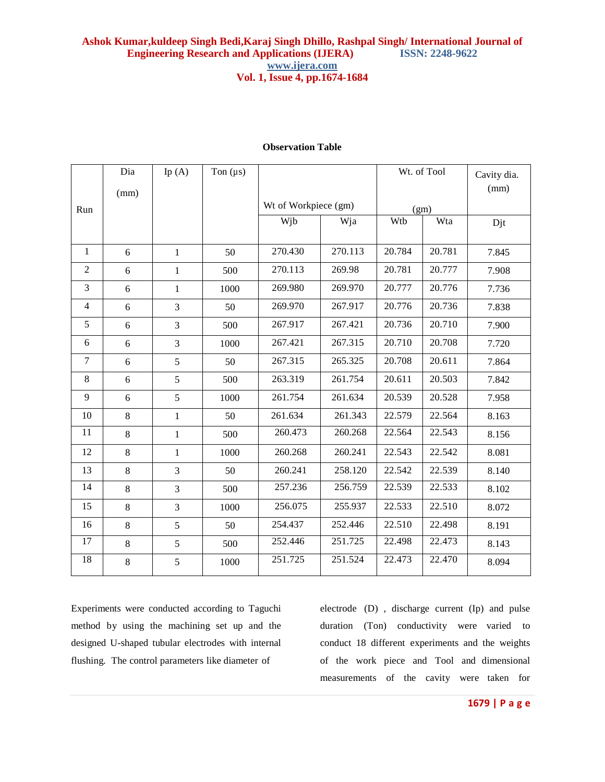|                | Dia<br>(mm) | Ip $(A)$     | Ton $(\mu s)$ |                      |         |        | Wt. of Tool | Cavity dia.<br>(mm) |
|----------------|-------------|--------------|---------------|----------------------|---------|--------|-------------|---------------------|
| Run            |             |              |               | Wt of Workpiece (gm) |         | (gm)   |             |                     |
|                |             |              |               | Wjb                  | Wja     | Wtb    | Wta         | Djt                 |
| 1              | 6           | $\mathbf{1}$ | 50            | 270.430              | 270.113 | 20.784 | 20.781      | 7.845               |
| $\overline{2}$ | 6           | 1            | 500           | 270.113              | 269.98  | 20.781 | 20.777      | 7.908               |
| 3              | 6           | $\mathbf{1}$ | 1000          | 269.980              | 269.970 | 20.777 | 20.776      | 7.736               |
| $\overline{4}$ | 6           | 3            | 50            | 269.970              | 267.917 | 20.776 | 20.736      | 7.838               |
| 5              | 6           | 3            | 500           | 267.917              | 267.421 | 20.736 | 20.710      | 7.900               |
| 6              | 6           | 3            | 1000          | 267.421              | 267.315 | 20.710 | 20.708      | 7.720               |
| $\tau$         | 6           | 5            | 50            | 267.315              | 265.325 | 20.708 | 20.611      | 7.864               |
| 8              | 6           | 5            | 500           | 263.319              | 261.754 | 20.611 | 20.503      | 7.842               |
| 9              | 6           | 5            | 1000          | 261.754              | 261.634 | 20.539 | 20.528      | 7.958               |
| 10             | 8           | $\mathbf{1}$ | 50            | 261.634              | 261.343 | 22.579 | 22.564      | 8.163               |
| 11             | 8           | $\mathbf 1$  | 500           | 260.473              | 260.268 | 22.564 | 22.543      | 8.156               |
| 12             | $8\,$       | $\mathbf{1}$ | 1000          | 260.268              | 260.241 | 22.543 | 22.542      | 8.081               |
| 13             | 8           | 3            | 50            | 260.241              | 258.120 | 22.542 | 22.539      | 8.140               |
| 14             | 8           | 3            | 500           | 257.236              | 256.759 | 22.539 | 22.533      | 8.102               |
| 15             | 8           | 3            | 1000          | 256.075              | 255.937 | 22.533 | 22.510      | 8.072               |
| 16             | 8           | 5            | 50            | 254.437              | 252.446 | 22.510 | 22.498      | 8.191               |
| 17             | 8           | 5            | 500           | 252.446              | 251.725 | 22.498 | 22.473      | 8.143               |
| 18             | 8           | 5            | 1000          | 251.725              | 251.524 | 22.473 | 22.470      | 8.094               |

# **Observation Table**

Experiments were conducted according to Taguchi method by using the machining set up and the designed U-shaped tubular electrodes with internal flushing. The control parameters like diameter of

electrode (D) , discharge current (Ip) and pulse duration (Ton) conductivity were varied to conduct 18 different experiments and the weights of the work piece and Tool and dimensional measurements of the cavity were taken for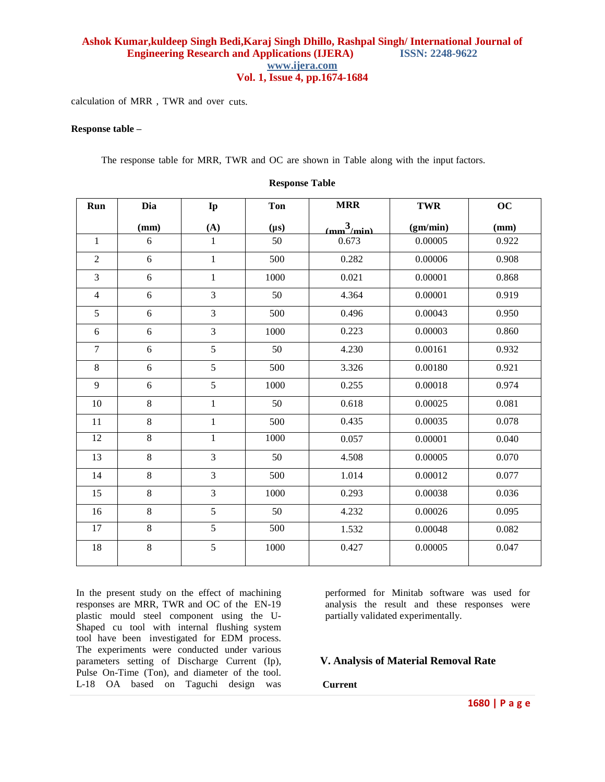calculation of MRR , TWR and over cuts.

#### **Response table –**

The response table for MRR, TWR and OC are shown in Table along with the input factors.

| Run            | Dia   | Ip             | <b>Ton</b> | <b>MRR</b>    | TWR      | OC    |
|----------------|-------|----------------|------------|---------------|----------|-------|
|                | (mm)  | (A)            | $(\mu s)$  | $\frac{3}{2}$ | (gm/min) | (mm)  |
| $\mathbf{1}$   | 6     | $\mathbf{1}$   | 50         | 0.673         | 0.00005  | 0.922 |
| $\overline{2}$ | 6     | $\mathbf{1}$   | 500        | 0.282         | 0.00006  | 0.908 |
| 3              | 6     | $\mathbf{1}$   | 1000       | 0.021         | 0.00001  | 0.868 |
| $\overline{4}$ | 6     | 3              | 50         | 4.364         | 0.00001  | 0.919 |
| 5              | 6     | 3              | 500        | 0.496         | 0.00043  | 0.950 |
| 6              | 6     | 3              | 1000       | 0.223         | 0.00003  | 0.860 |
| $\tau$         | 6     | 5              | 50         | 4.230         | 0.00161  | 0.932 |
| $\,8\,$        | 6     | 5              | 500        | 3.326         | 0.00180  | 0.921 |
| 9              | 6     | 5              | 1000       | 0.255         | 0.00018  | 0.974 |
| 10             | 8     | $\mathbf{1}$   | 50         | 0.618         | 0.00025  | 0.081 |
| $11\,$         | $8\,$ | $\mathbf{1}$   | 500        | 0.435         | 0.00035  | 0.078 |
| 12             | 8     | $\mathbf{1}$   | 1000       | 0.057         | 0.00001  | 0.040 |
| 13             | 8     | $\overline{3}$ | 50         | 4.508         | 0.00005  | 0.070 |
| 14             | 8     | 3              | 500        | 1.014         | 0.00012  | 0.077 |
| 15             | $8\,$ | 3              | 1000       | 0.293         | 0.00038  | 0.036 |
| 16             | 8     | 5              | 50         | 4.232         | 0.00026  | 0.095 |
| 17             | 8     | $\overline{5}$ | 500        | 1.532         | 0.00048  | 0.082 |
| $18\,$         | $8\,$ | 5              | 1000       | 0.427         | 0.00005  | 0.047 |
|                |       |                |            |               |          |       |

#### **Response Table**

In the present study on the effect of machining responses are MRR, TWR and OC of the EN-19 plastic mould steel component using the U-Shaped cu tool with internal flushing system tool have been investigated for EDM process. The experiments were conducted under various parameters setting of Discharge Current (Ip), Pulse On-Time (Ton), and diameter of the tool. L-18 OA based on Taguchi design was

performed for Minitab software was used for analysis the result and these responses were partially validated experimentally.

# **V. Analysis of Material Removal Rate**

#### **Current**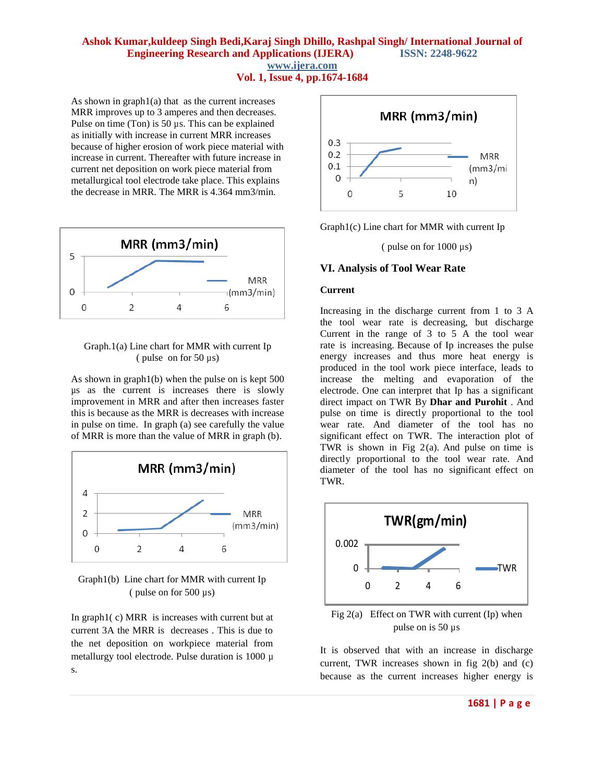As shown in  $graph1(a)$  that as the current increases MRR improves up to 3 amperes and then decreases. Pulse on time (Ton) is 50  $\mu$ s. This can be explained as initially with increase in current MRR increases because of higher erosion of work piece material with increase in current. Thereafter with future increase in current net deposition on work piece material from metallurgical tool electrode take place. This explains the decrease in MRR. The MRR is 4.364 mm3/min.



#### Graph.1(a) Line chart for MMR with current Ip ( pulse on for 50 µs)

As shown in graph1(b) when the pulse on is kept 500 µs as the current is increases there is slowly improvement in MRR and after then increases faster this is because as the MRR is decreases with increase in pulse on time. In graph (a) see carefully the value of MRR is more than the value of MRR in graph (b).





In graph1( c) MRR is increases with current but at current 3A the MRR is decreases . This is due to the net deposition on workpiece material from metallurgy tool electrode. Pulse duration is 1000 µ s.



Graph1(c) Line chart for MMR with current Ip

( pulse on for 1000 µs)

#### **VI. Analysis of Tool Wear Rate**

#### **Current**

Increasing in the discharge current from 1 to 3 A the tool wear rate is decreasing, but discharge Current in the range of 3 to 5 A the tool wear rate is increasing. Because of Ip increases the pulse energy increases and thus more heat energy is produced in the tool work piece interface, leads to increase the melting and evaporation of the electrode. One can interpret that Ip has a significant direct impact on TWR By **Dhar and Purohit** . And pulse on time is directly proportional to the tool wear rate. And diameter of the tool has no significant effect on TWR. The interaction plot of TWR is shown in Fig  $2(a)$ . And pulse on time is directly proportional to the tool wear rate. And diameter of the tool has no significant effect on TWR.



Fig 2(a) Effect on TWR with current (Ip) when pulse on is 50 µs

It is observed that with an increase in discharge current, TWR increases shown in fig 2(b) and (c) because as the current increases higher energy is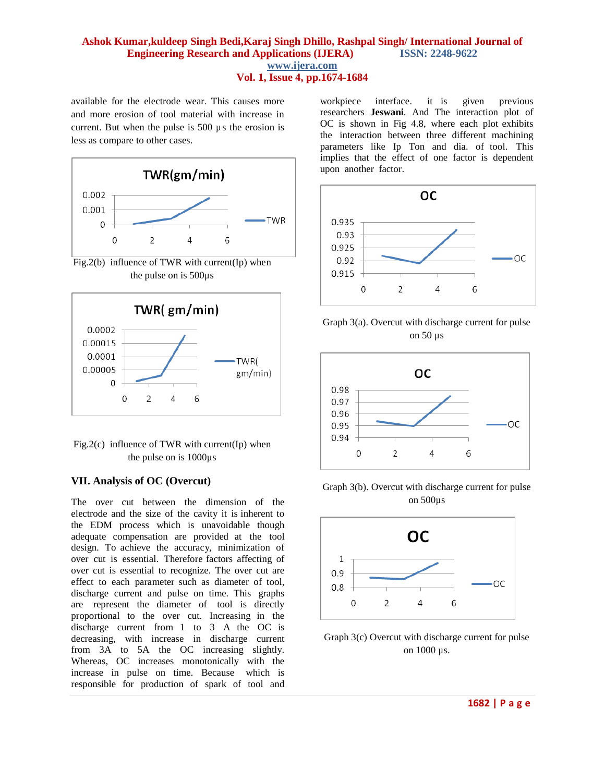available for the electrode wear. This causes more and more erosion of tool material with increase in current. But when the pulse is 500 µ s the erosion is less as compare to other cases.



Fig.2(b) influence of TWR with current(Ip) when the pulse on is 500µs





# **VII. Analysis of OC (Overcut)**

The over cut between the dimension of the electrode and the size of the cavity it is inherent to the EDM process which is unavoidable though adequate compensation are provided at the tool design. To achieve the accuracy, minimization of over cut is essential. Therefore factors affecting of over cut is essential to recognize. The over cut are effect to each parameter such as diameter of tool, discharge current and pulse on time. This graphs are represent the diameter of tool is directly proportional to the over cut. Increasing in the discharge current from 1 to 3 A the OC is decreasing, with increase in discharge current from 3A to 5A the OC increasing slightly. Whereas, OC increases monotonically with the increase in pulse on time. Because which is responsible for production of spark of tool and

workpiece interface. it is given previous researchers **Jeswani**. And The interaction plot of OC is shown in Fig 4.8, where each plot exhibits the interaction between three different machining parameters like Ip Ton and dia. of tool. This implies that the effect of one factor is dependent upon another factor.







Graph 3(b). Overcut with discharge current for pulse on 500µs



Graph 3(c) Overcut with discharge current for pulse on 1000 µs.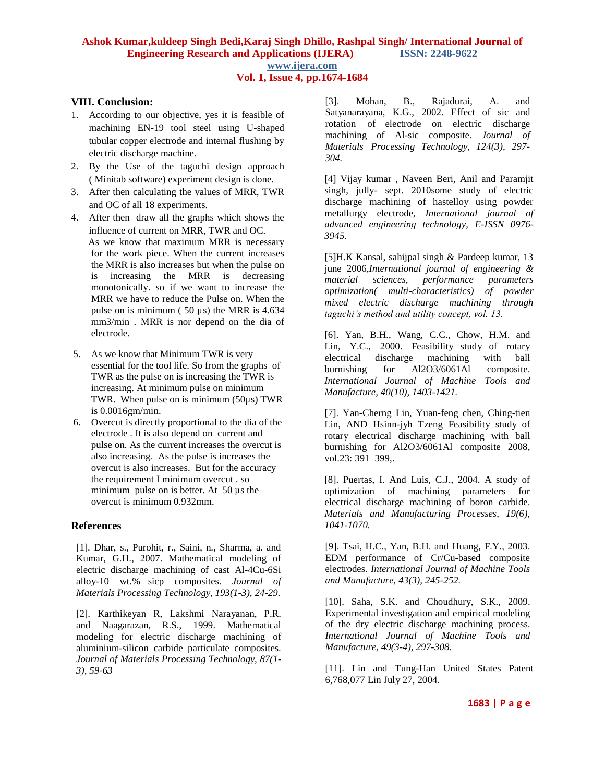# **VIII. Conclusion:**

- 1. According to our objective, yes it is feasible of machining EN-19 tool steel using U-shaped tubular copper electrode and internal flushing by electric discharge machine.
- 2. By the Use of the taguchi design approach ( Minitab software) experiment design is done.
- 3. After then calculating the values of MRR, TWR and OC of all 18 experiments.
- 4. After then draw all the graphs which shows the influence of current on MRR, TWR and OC. As we know that maximum MRR is necessary for the work piece. When the current increases the MRR is also increases but when the pulse on is increasing the MRR is decreasing monotonically. so if we want to increase the MRR we have to reduce the Pulse on. When the pulse on is minimum ( $50 \mu s$ ) the MRR is 4.634 mm3/min . MRR is nor depend on the dia of electrode.
- 5. As we know that Minimum TWR is very essential for the tool life. So from the graphs of TWR as the pulse on is increasing the TWR is increasing. At minimum pulse on minimum TWR. When pulse on is minimum (50µs) TWR is 0.0016gm/min.
- 6. Overcut is directly proportional to the dia of the electrode . It is also depend on current and pulse on. As the current increases the overcut is also increasing. As the pulse is increases the overcut is also increases. But for the accuracy the requirement I minimum overcut . so minimum pulse on is better. At 50 µs the overcut is minimum 0.932mm.

#### **References**

[1]. Dhar, s., Purohit, r., Saini, n., Sharma, a. and Kumar, G.H., 2007. Mathematical modeling of electric discharge machining of cast Al-4Cu-6Si alloy-10 wt.% sicp composites. *Journal of Materials Processing Technology, 193(1-3), 24-29.*

[2]. Karthikeyan R, Lakshmi Narayanan, P.R. and Naagarazan, R.S., 1999. Mathematical modeling for electric discharge machining of aluminium-silicon carbide particulate composites. *Journal of Materials Processing Technology, 87(1- 3), 59-63*

[3]. Mohan, B., Rajadurai, A. and Satyanarayana, K.G., 2002. Effect of sic and rotation of electrode on electric discharge machining of Al-sic composite. *Journal of Materials Processing Technology, 124(3), 297- 304.*

[4] Vijay kumar , Naveen Beri, Anil and Paramjit singh, jully- sept. 2010some study of electric discharge machining of hastelloy using powder metallurgy electrode, *International journal of advanced engineering technology, E-ISSN 0976- 3945.*

[5]H.K Kansal, sahijpal singh & Pardeep kumar, 13 june 2006,*International journal of engineering & material sciences, performance parameters optimization( multi-characteristics) of powder mixed electric discharge machining through taguchi's method and utility concept, vol. 13.*

[6]. Yan, B.H., Wang, C.C., Chow, H.M. and Lin, Y.C., 2000. Feasibility study of rotary electrical discharge machining with ball burnishing for Al2O3/6061Al composite. *International Journal of Machine Tools and Manufacture, 40(10), 1403-1421.*

[7]. Yan-Cherng Lin, Yuan-feng chen, Ching-tien Lin, AND Hsinn-jyh Tzeng Feasibility study of rotary electrical discharge machining with ball burnishing for Al2O3/6061Al composite 2008, vol.23: 391–399,.

[8]. Puertas, I. And Luis, C.J., 2004. A study of optimization of machining parameters for electrical discharge machining of boron carbide. *Materials and Manufacturing Processes, 19(6), 1041-1070.*

[9]. Tsai, H.C., Yan, B.H. and Huang, F.Y., 2003. EDM performance of Cr/Cu-based composite electrodes. *International Journal of Machine Tools and Manufacture, 43(3), 245-252.*

[10]. Saha, S.K. and Choudhury, S.K., 2009. Experimental investigation and empirical modeling of the dry electric discharge machining process. *International Journal of Machine Tools and Manufacture, 49(3-4), 297-308.*

[11]. Lin and Tung-Han United States Patent 6,768,077 Lin July 27, 2004.